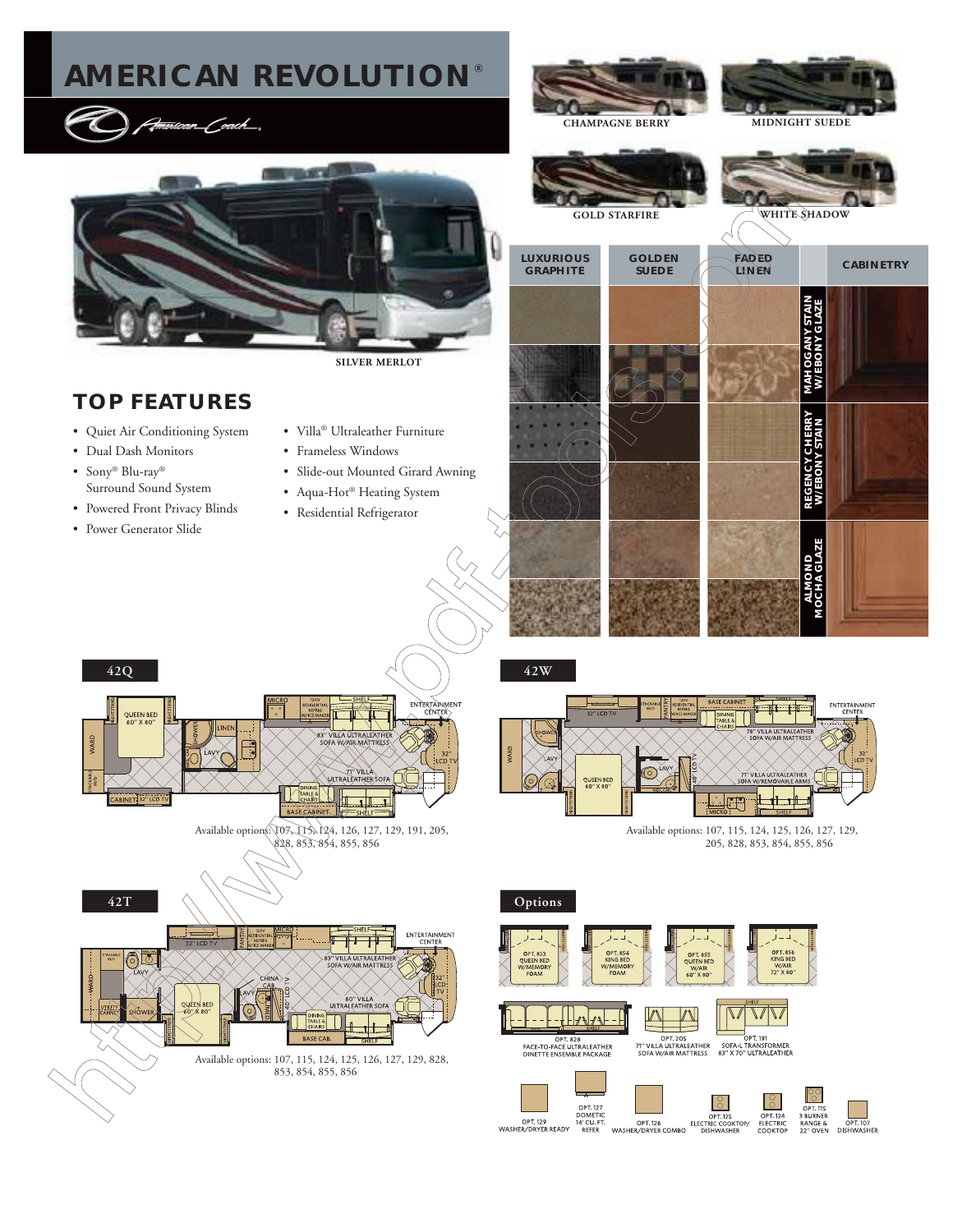# **AMERICAN REVOLUTION®**

<del>Jmir</del>ican\_Coach\_.



## **TOP FEATURES**

- Quiet Air Conditioning System
- Dual Dash Monitors
- Sony® Blu-ray® Surround Sound System
- Powered Front Privacy Blinds
- Power Generator Slide
- Villa® Ultraleather Furniture
- Frameless Windows
- Slide-out Mounted Girard Awning
- Aqua-Hot® Heating System
- Residential Refrigerator



e

**42W**



Available options: 107, 115, 124, 125, 126, 127, 129, 205, 828, 853, 854, 855, 856

ENTERTAINMEN'

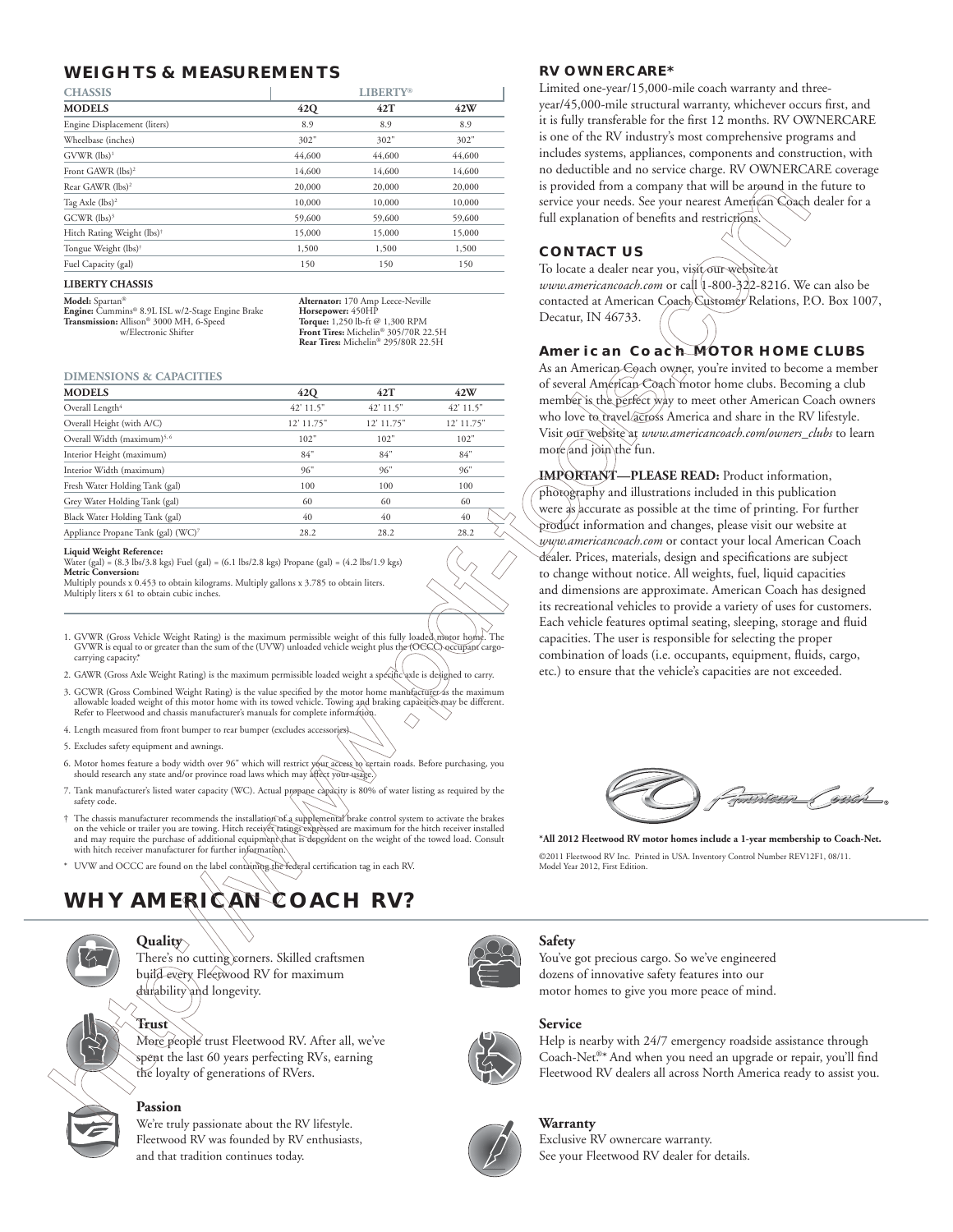## **WEIGHTS & MEASUREMENTS RV OWNERCARE\***

| <b>CHASSIS</b>                         | <b>LIBERTY®</b> |        |        |
|----------------------------------------|-----------------|--------|--------|
| <b>MODELS</b>                          | 42Q             | 42T    | 42W    |
| Engine Displacement (liters)           | 8.9             | 8.9    | 8.9    |
| Wheelbase (inches)                     | 302"            | 302"   | 302"   |
| $GVWR$ (lbs) <sup>1</sup>              | 44,600          | 44,600 | 44,600 |
| Front GAWR (lbs) <sup>2</sup>          | 14,600          | 14,600 | 14,600 |
| Rear GAWR (lbs) <sup>2</sup>           | 20,000          | 20,000 | 20,000 |
| Tag Axle (lbs) <sup>2</sup>            | 10,000          | 10,000 | 10,000 |
| $GCWR$ (lbs) <sup>3</sup>              | 59,600          | 59,600 | 59,600 |
| Hitch Rating Weight (lbs) <sup>†</sup> | 15,000          | 15,000 | 15,000 |
| Tongue Weight (lbs) <sup>†</sup>       | 1,500           | 1,500  | 1,500  |
| Fuel Capacity (gal)                    | 150             | 150    | 150    |

**Model:**  $\delta$ partan® **Alternator:** 170 Amp Leece-Neville<br> **Engine:** Cummins® 8.9L ISL w/2-Stage Engine Brake **Horsepower:** 450HP<br> **Transmission:** Allison® 3000 MH, 6-Speed **Torque:** 1.250 lb-ft @ 1,300 RPM **Engine:** Cummins® 8.9L ISL w/2-Stage Engine Brake **Horsepower:** 450HP **Transmission:** Allison® 3000 MH, 6-Speed **Torque:** 1,250 lb-ft @ 1,300 RPM

w/Electronic Shifter **Front Tires:** Michelin® 305/70R 22.5H **Rear Tires:** Michelin® 295/80R 22.5H

#### **DIMENSIONS & CAPACITIES**

| <b>MODELS</b>                           | 42Q        | 42T        | 42W        |
|-----------------------------------------|------------|------------|------------|
| Overall Length <sup>4</sup>             | 42' 11.5"  | 42' 11.5"  | 42' 11.5"  |
| Overall Height (with A/C)               | 12' 11.75" | 12' 11.75" | 12' 11.75" |
| Overall Width (maximum) <sup>5, 6</sup> | 102"       | 102"       | 102"       |
| Interior Height (maximum)               | 84"        | 84"        | 84"        |
| Interior Width (maximum)                | 96"        | 96"        | 96"        |
| Fresh Water Holding Tank (gal)          | 100        | 100        | 100        |
| Grey Water Holding Tank (gal)           | 60         | 60         | 60         |
| Black Water Holding Tank (gal)          | 40         | 40         | 40         |
| Appliance Propane Tank (gal) (WC)7      | 28.2       | 28.2       | 28.2       |

#### **Liquid Weight Reference:**

Water (gal) = (8.3 lbs/3.8 kgs) Fuel (gal) = (6.1 lbs/2.8 kgs) Propane (gal) = (4.2 lbs/1.9 kgs) **Metric Conversion:** Multiply pounds x 0.453 to obtain kilograms. Multiply gallons x 3.785 to obtain liters. Multiply liters x 61 to obtain cubic inches.

- 1. GVWR (Gross Vehicle Weight Rating) is the maximum permissible weight of this fully loaded motor home. The GVWR is equal to or greater than the sum of the (UVW) unloaded vehicle weight plus the (OCCC) occupant cargocarrying capacity
- 2. GAWR (Gross Axle Weight Rating) is the maximum permissible loaded weight a spécific axle is desighed to carry.
- 3. GCWR (Gross Combined Weight Rating) is the value specified by the motor home manufacturer as the maximum allowable loaded weight of this motor home with its towed vehicle. Towing and braking capacities may be different.<br>Refer to Fleetwood and chassis manufacturer's manuals for complete information.
- 4. Length measured from front bumper to rear bumper (excludes access
- 5. Excludes safety equipment and awnings.
- 6. Motor homes feature a body width over 96" which will restrict your access to certain roads. Before purchasing, you<br>should research any state and/or province road laws which may affect your usage.)
- 7. Tank manufacturer's listed water capacity (WC). Actual propane capacity is 80% of water listing as required by the safety code.
- T The chassis manufacturer recommends the installation of a supplemental brake control system to activate the brakes on the vehicle or trailed to the vehicle of the vehicle of the vehicle of the vehicle of the and may re with hitch receiver manufacturer for further information
- \* UVW and OCCC are found on the label containing the federal certification tag in each RV.

# WHY AMERICAN COACH RV?



**Quality** There's no cutting corners. Skilled craftsmen build every Fleetwood RV for maximum durability and longevity.

**Trust** More people trust Fleetwood RV. After all, we've spent the last 60 years perfecting RVs, earning the loyalty of generations of RVers.

### **Passion**

We're truly passionate about the RV lifestyle. Fleetwood RV was founded by RV enthusiasts, and that tradition continues today.



Limited one-year/15,000-mile coach warranty and threeyear/45,000-mile structural warranty, whichever occurs first, and it is fully transferable for the first 12 months. RV OWNERCARE is one of the RV industry's most comprehensive programs and includes systems, appliances, components and construction, with no deductible and no service charge. RV OWNERCARE coverage is provided from a company that will be around in the future to service your needs. See your nearest American Coach dealer for a full explanation of benefits and restrictions.

### **CONTACT US**

To locate a dealer near you, visit our website at *www.americancoach.com* or call 1-800-322-8216. We can also be contacted at American Coach Customer Relations, P.O. Box 1007, Decatur, IN 46733.

### **American Coach MOTOR HOME CLUBS**

As an American Coach owner, you're invited to become a member of several American Coach motor home clubs. Becoming a club member is the perfect way to meet other American Coach owners who love to travel across America and share in the RV lifestyle. Visit our website at *www.americancoach.com/owners\_clubs* to learn more and join the fun.

**IMPORTANT—PLEASE READ:** Product information, photography and illustrations included in this publication were as accurate as possible at the time of printing. For further product information and changes, please visit our website at *www.americancoach.com* or contact your local American Coach dealer. Prices, materials, design and specifications are subject to change without notice. All weights, fuel, liquid capacities and dimensions are approximate. American Coach has designed its recreational vehicles to provide a variety of uses for customers. Each vehicle features optimal seating, sleeping, storage and fluid capacities. The user is responsible for selecting the proper combination of loads (i.e. occupants, equipment, fluids, cargo, etc.) to ensure that the vehicle's capacities are not exceeded.



**\*All 2012 Fleetwood RV motor homes include a 1-year membership to Coach-Net.** ©2011 Fleetwood RV Inc. Printed in USA. Inventory Control Number REV12F1, 08/11. Model Year 2012, First Edition.

### **Safety**

You've got precious cargo. So we've engineered dozens of innovative safety features into our motor homes to give you more peace of mind.

# **Service**

Help is nearby with 24/7 emergency roadside assistance through Coach-Net.<sup>®\*</sup> And when you need an upgrade or repair, you'll find Fleetwood RV dealers all across North America ready to assist you.



#### **Warranty**

Exclusive RV ownercare warranty. See your Fleetwood RV dealer for details.